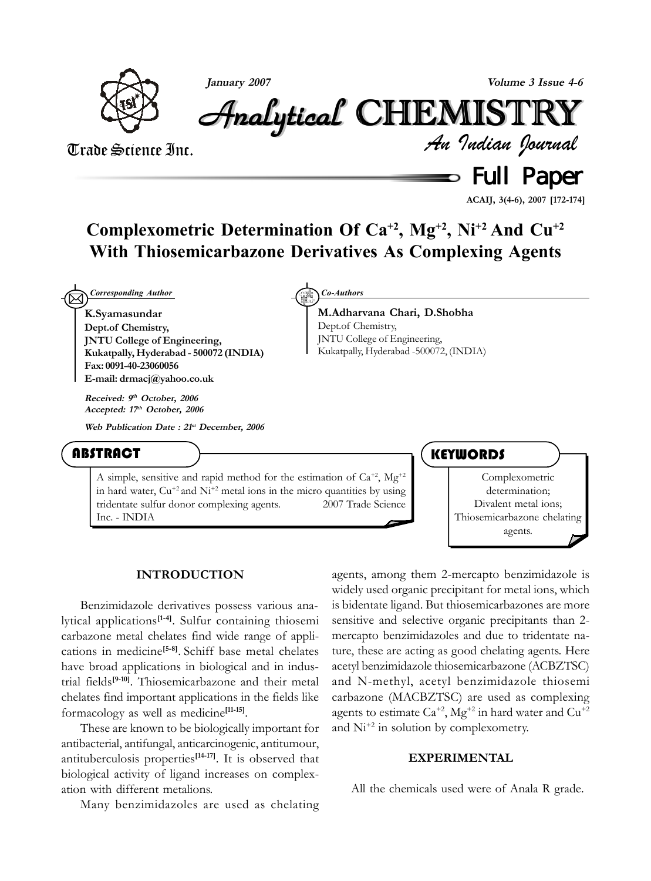

**January 2007 Volume 3 Issue 4-6**

Analytical Analytical Analytical Analytical Analytical Analytical CHEMISTR CHEMISTR HEMISTR HEMISTRYY

Trade Science Inc.

*An Indian Journal*

**Solution** Full Paper

**ACAIJ, 3(4-6), 2007 [172-174]**

# **Complexometric Determination Of Ca+2, Mg+2, Ni+2 And Cu+2 With Thiosemicarbazone Derivatives As Complexing Agents**

⊠ *Corresponding Author Co-Authors*

**K.Syamasundar Dept.of Chemistry, JNTU College of Engineering, Kukatpally, Hyderabad - 500072 (INDIA) Fax: 0091-40-23060056 E-mail: drmacj@yahoo.co.uk**

**Received: 9th October, 2006 Accepted: 17th October, 2006**

**Web Publication Date : 21st December, 2006**

**ABSTRACT** 

A simple, sensitive and rapid method for the estimation of  $Ca^{+2}$ ,  $Mg^{+2}$ in hard water,  $Cu^{+2}$  and  $Ni^{+2}$  metal ions in the micro quantities by using tridentate sulfur donor complexing agents.  $\oslash$  2007 Trade Science Inc. - INDIA



**M.Adharvana Chari, D.Shobha** Dept.of Chemistry, JNTU College of Engineering, Kukatpally, Hyderabad -500072, (INDIA)

**KEYWORDS** 



#### **INTRODUCTION**

Benzimidazole derivatives possess various analytical applications**[1-4]**. Sulfur containing thiosemi carbazone metal chelates find wide range of applications in medicine**[5-8]**. Schiff base metal chelates have broad applications in biological and in industrial fields**[9-10]**. Thiosemicarbazone and their metal chelates find important applications in the fields like formacology as well as medicine**[11-15]**.

These are known to be biologically important for antibacterial, antifungal, anticarcinogenic, antitumour, antituberculosis properties**[14-17]**. It is observed that biological activity of ligand increases on complexation with different metalions.

Many benzimidazoles are used as chelating

agents, among them 2-mercapto benzimidazole is widely used organic precipitant for metal ions, which is bidentate ligand. But thiosemicarbazones are more sensitive and selective organic precipitants than 2 mercapto benzimidazoles and due to tridentate nature, these are acting as good chelating agents. Here acetyl benzimidazole thiosemicarbazone (ACBZTSC) and N-methyl, acetyl benzimidazole thiosemi carbazone (MACBZTSC) are used as complexing agents to estimate  $Ca^{+2}$ ,  $Mg^{+2}$  in hard water and  $Cu^{+2}$ and  $Ni^{+2}$  in solution by complexometry.

## **EXPERIMENTAL**

All the chemicals used were of Anala R grade.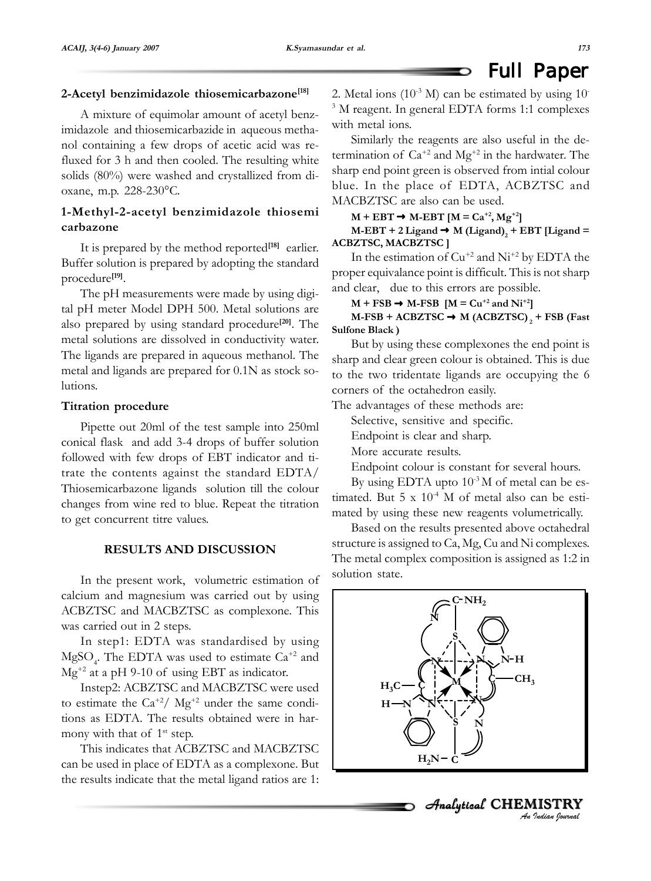#### **2-Acetyl benzimidazole thiosemicarbazone[18]**

A mixture of equimolar amount of acetyl benzimidazole and thiosemicarbazide in aqueous methanol containing a few drops of acetic acid was refluxed for 3 h and then cooled. The resulting white solids (80%) were washed and crystallized from dioxane, m.p. 228-230°C.

# **1-Methyl-2-acetyl benzimidazole thiosemi carbazone**

It is prepared by the method reported**[18]** earlier. Buffer solution is prepared by adopting the standard procedure**[19]**.

The pH measurements were made by using digital pH meter Model DPH 500. Metal solutions are also prepared by using standard procedure**[20]**. The metal solutions are dissolved in conductivity water. The ligands are prepared in aqueous methanol. The metal and ligands are prepared for 0.1N as stock solutions.

#### **Titration procedure**

Pipette out 20ml of the test sample into 250ml conical flask and add 3-4 drops of buffer solution followed with few drops of EBT indicator and titrate the contents against the standard EDTA/ Thiosemicarbazone ligands solution till the colour changes from wine red to blue. Repeat the titration to get concurrent titre values.

## **RESULTS AND DISCUSSION**

In the present work, volumetric estimation of calcium and magnesium was carried out by using ACBZTSC and MACBZTSC as complexone. This was carried out in 2 steps.

In step1: EDTA was standardised by using  $MgSO<sub>4</sub>$ . The EDTA was used to estimate  $Ca<sup>+2</sup>$  and  $Mg^{+2}$  at a pH 9-10 of using EBT as indicator.

Instep2: ACBZTSC and MACBZTSC were used to estimate the  $Ca^{+2}/\text{Mg}^{+2}$  under the same conditions as EDTA. The results obtained were in harmony with that of  $1<sup>st</sup>$  step.

This indicates that ACBZTSC and MACBZTSC can be used in place of EDTA as a complexone. But the results indicate that the metal ligand ratios are 1: 2. Metal ions  $(10^{-3} \text{ M})$  can be estimated by using 10<sup>-</sup> 3 M reagent. In general EDTA forms 1:1 complexes with metal ions.

D

Similarly the reagents are also useful in the determination of  $Ca^{+2}$  and  $Mg^{+2}$  in the hardwater. The sharp end point green is observed from intial colour blue. In the place of EDTA, ACBZTSC and MACBZTSC are also can be used.

 $M + EBT \rightarrow M-EBT$   $[M = Ca^{+2}, Mg^{+2}]$ 

 $M$ -EBT + 2 Ligand  $\rightarrow$  M (Ligand)<sub>2</sub> + EBT [Ligand = **ACBZTSC, MACBZTSC ]**

In the estimation of  $Cu^{+2}$  and  $Ni^{+2}$  by EDTA the proper equivalance point is difficult. This is not sharp and clear, due to this errors are possible.

 $M + FSB \rightarrow M-FSB \quad [M = Cu^{+2} \text{ and } Ni^{+2}]$ 

**M-FSB + ACBZTSC → M (ACBZTSC)**, + FSB (Fast **Sulfone Black )**

But by using these complexones the end point is sharp and clear green colour is obtained. This is due to the two tridentate ligands are occupying the 6 corners of the octahedron easily.

The advantages of these methods are:

Selective, sensitive and specific.

Endpoint is clear and sharp.

More accurate results.

Endpoint colour is constant for several hours.

By using EDTA upto  $10^{-3}$ M of metal can be estimated. But  $5 \times 10^{-4}$  M of metal also can be estimated by using these new reagents volumetrically.

Based on the results presented above octahedral structure is assigned to Ca, Mg, Cu and Ni complexes. The metal complex composition is assigned as 1:2 in solution state.



*An Indian Journal*

Analytical CHEMISTRY